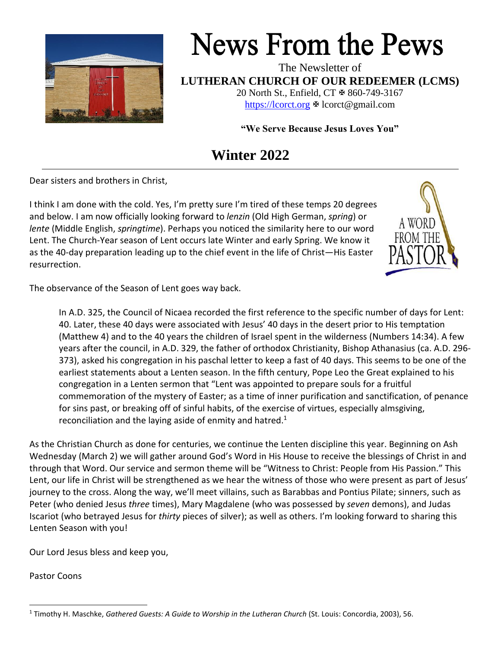

# **News From the Pews**

The Newsletter of **LUTHERAN CHURCH OF OUR REDEEMER (LCMS)** 20 North St., Enfield, CT  $\text{\textsterling}860$ -749-3167

[https://lcorct.org](https://lcorct.org/)  $\Phi$  lcorct@gmail.com

**"We Serve Because Jesus Loves You"**

# **Winter 2022**

Dear sisters and brothers in Christ,

I think I am done with the cold. Yes, I'm pretty sure I'm tired of these temps 20 degrees and below. I am now officially looking forward to *lenzin* (Old High German, *spring*) or *lente* (Middle English, *springtime*). Perhaps you noticed the similarity here to our word Lent. The Church-Year season of Lent occurs late Winter and early Spring. We know it as the 40-day preparation leading up to the chief event in the life of Christ—His Easter resurrection.



The observance of the Season of Lent goes way back.

In A.D. 325, the Council of Nicaea recorded the first reference to the specific number of days for Lent: 40. Later, these 40 days were associated with Jesus' 40 days in the desert prior to His temptation (Matthew 4) and to the 40 years the children of Israel spent in the wilderness (Numbers 14:34). A few years after the council, in A.D. 329, the father of orthodox Christianity, Bishop Athanasius (ca. A.D. 296- 373), asked his congregation in his paschal letter to keep a fast of 40 days. This seems to be one of the earliest statements about a Lenten season. In the fifth century, Pope Leo the Great explained to his congregation in a Lenten sermon that "Lent was appointed to prepare souls for a fruitful commemoration of the mystery of Easter; as a time of inner purification and sanctification, of penance for sins past, or breaking off of sinful habits, of the exercise of virtues, especially almsgiving, reconciliation and the laying aside of enmity and hatred. $1$ 

As the Christian Church as done for centuries, we continue the Lenten discipline this year. Beginning on Ash Wednesday (March 2) we will gather around God's Word in His House to receive the blessings of Christ in and through that Word. Our service and sermon theme will be "Witness to Christ: People from His Passion." This Lent, our life in Christ will be strengthened as we hear the witness of those who were present as part of Jesus' journey to the cross. Along the way, we'll meet villains, such as Barabbas and Pontius Pilate; sinners, such as Peter (who denied Jesus *three* times), Mary Magdalene (who was possessed by *seven* demons), and Judas Iscariot (who betrayed Jesus for *thirty* pieces of silver); as well as others. I'm looking forward to sharing this Lenten Season with you!

Our Lord Jesus bless and keep you,

Pastor Coons

<sup>1</sup> Timothy H. Maschke, *Gathered Guests: A Guide to Worship in the Lutheran Church* (St. Louis: Concordia, 2003), 56.